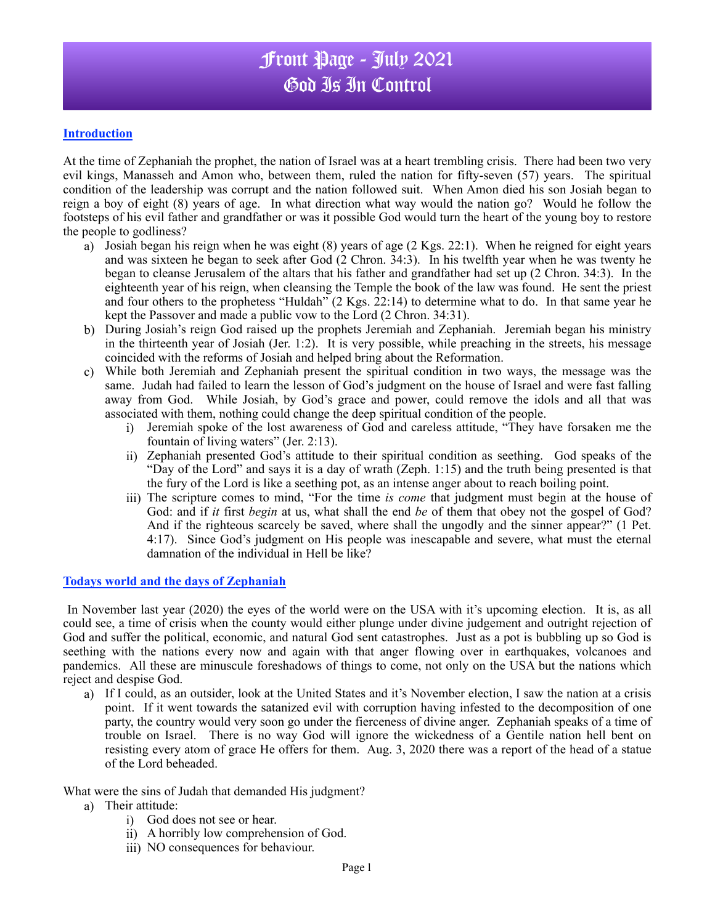## Front Page - July 2021 God Is In Control

#### **Introduction**

At the time of Zephaniah the prophet, the nation of Israel was at a heart trembling crisis. There had been two very evil kings, Manasseh and Amon who, between them, ruled the nation for fifty-seven (57) years. The spiritual condition of the leadership was corrupt and the nation followed suit. When Amon died his son Josiah began to reign a boy of eight (8) years of age. In what direction what way would the nation go? Would he follow the footsteps of his evil father and grandfather or was it possible God would turn the heart of the young boy to restore the people to godliness?

- a) Josiah began his reign when he was eight (8) years of age (2 Kgs. 22:1). When he reigned for eight years and was sixteen he began to seek after God (2 Chron. 34:3). In his twelfth year when he was twenty he began to cleanse Jerusalem of the altars that his father and grandfather had set up (2 Chron. 34:3). In the eighteenth year of his reign, when cleansing the Temple the book of the law was found. He sent the priest and four others to the prophetess "Huldah" (2 Kgs. 22:14) to determine what to do. In that same year he kept the Passover and made a public vow to the Lord (2 Chron. 34:31).
- b) During Josiah's reign God raised up the prophets Jeremiah and Zephaniah. Jeremiah began his ministry in the thirteenth year of Josiah (Jer. 1:2). It is very possible, while preaching in the streets, his message coincided with the reforms of Josiah and helped bring about the Reformation.
- c) While both Jeremiah and Zephaniah present the spiritual condition in two ways, the message was the same. Judah had failed to learn the lesson of God's judgment on the house of Israel and were fast falling away from God. While Josiah, by God's grace and power, could remove the idols and all that was associated with them, nothing could change the deep spiritual condition of the people.
	- i) Jeremiah spoke of the lost awareness of God and careless attitude, "They have forsaken me the fountain of living waters" (Jer. 2:13).
	- ii) Zephaniah presented God's attitude to their spiritual condition as seething. God speaks of the "Day of the Lord" and says it is a day of wrath (Zeph. 1:15) and the truth being presented is that the fury of the Lord is like a seething pot, as an intense anger about to reach boiling point.
	- iii) The scripture comes to mind, "For the time *is come* that judgment must begin at the house of God: and if *it* first *begin* at us, what shall the end *be* of them that obey not the gospel of God? And if the righteous scarcely be saved, where shall the ungodly and the sinner appear?" (1 Pet. 4:17). Since God's judgment on His people was inescapable and severe, what must the eternal damnation of the individual in Hell be like?

#### **Todays world and the days of Zephaniah**

In November last year (2020) the eyes of the world were on the USA with it's upcoming election. It is, as all could see, a time of crisis when the county would either plunge under divine judgement and outright rejection of God and suffer the political, economic, and natural God sent catastrophes. Just as a pot is bubbling up so God is seething with the nations every now and again with that anger flowing over in earthquakes, volcanoes and pandemics. All these are minuscule foreshadows of things to come, not only on the USA but the nations which reject and despise God.

a) If I could, as an outsider, look at the United States and it's November election, I saw the nation at a crisis point. If it went towards the satanized evil with corruption having infested to the decomposition of one party, the country would very soon go under the fierceness of divine anger. Zephaniah speaks of a time of trouble on Israel. There is no way God will ignore the wickedness of a Gentile nation hell bent on resisting every atom of grace He offers for them. Aug. 3, 2020 there was a report of the head of a statue of the Lord beheaded.

#### What were the sins of Judah that demanded His judgment?

- a) Their attitude:
	- i) God does not see or hear.
	- ii) A horribly low comprehension of God.
	- iii) NO consequences for behaviour.